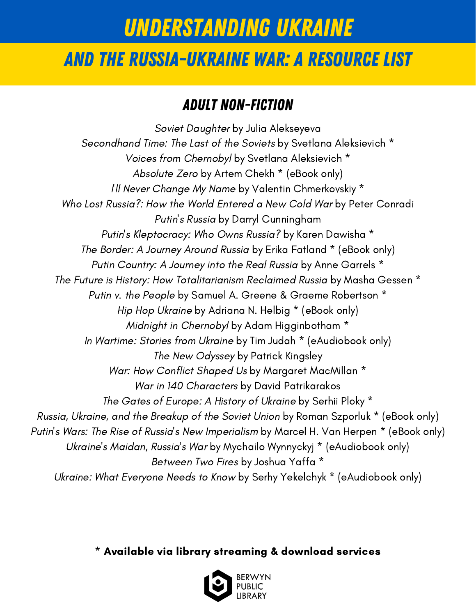## And the Russia-Ukraine War: A Resource List

#### Adult Non-fiction

Soviet [Daughter](https://bys.swanlibraries.net/Record/a1609754?searchId=4313021&recordIndex=1&page=1&referred=resultIndex) by Julia [Alekseyeva](https://bys.swanlibraries.net/Record/a1609754?searchId=4313021&recordIndex=1&page=1&referred=resultIndex) [Secondhand](https://bys.swanlibraries.net/Union/Search?view=list&showCovers=on&lookfor=Secondhand+Time%3A+The+Last+of+the+Soviets&searchIndex=Title&searchSource=local) Time: The Last of the Soviets by Svetlana [Aleksievich](https://bys.swanlibraries.net/Union/Search?view=list&showCovers=on&lookfor=Secondhand+Time%3A+The+Last+of+the+Soviets&searchIndex=Title&searchSource=local) \* Voices from [Chernobyl](https://bys.swanlibraries.net/Union/Search?view=list&lookfor=%22Voices+from+Chernobyl%22&searchIndex=Title&searchSource=local) by Svetlana [Aleksievich](https://bys.swanlibraries.net/Union/Search?view=list&lookfor=%22Voices+from+Chernobyl%22&searchIndex=Title&searchSource=local) \* [Absolute](https://bys.swanlibraries.net/Hoopla/13614045?searchId=4312651&recordIndex=4&page=1&referred=resultIndex) Zero by Artem Chekh \* [\(eBook](https://bys.swanlibraries.net/Hoopla/13614045?searchId=4312651&recordIndex=4&page=1&referred=resultIndex) only) I'll Never [Change](https://bys.swanlibraries.net/Union/Search?view=list&showCovers=on&lookfor=%22I%27ll+Never+Change+My+Name%22&searchIndex=Title&searchSource=local) My Name by Valentin [Chmerkovskiy](https://bys.swanlibraries.net/Union/Search?view=list&showCovers=on&lookfor=%22I%27ll+Never+Change+My+Name%22&searchIndex=Title&searchSource=local) \* Who Lost [Russia?:](https://bys.swanlibraries.net/Record/a2632498?searchId=4312927&recordIndex=1&page=1&referred=resultIndex) How the World Entered a New Cold War by Peter [Conradi](https://bys.swanlibraries.net/Record/a2632498?searchId=4312927&recordIndex=1&page=1&referred=resultIndex) [Putin's](https://bys.swanlibraries.net/Record/a3054612?searchId=4312893&recordIndex=8&page=1&referred=resultIndex) Russia by Darryl [Cunningham](https://bys.swanlibraries.net/Record/a3054612?searchId=4312893&recordIndex=8&page=1&referred=resultIndex) Putin's [Kleptocracy:](https://bys.swanlibraries.net/GroupedWork/74d6fc9e-9a89-7a83-0184-808ac91c30e5/Home?searchId=4312880&recordIndex=1&page=1&searchSource=local&referred=resultIndex) Who Owns Russia? by Karen [Dawisha](https://bys.swanlibraries.net/GroupedWork/74d6fc9e-9a89-7a83-0184-808ac91c30e5/Home?searchId=4312880&recordIndex=1&page=1&searchSource=local&referred=resultIndex) \* The Border: A [Journey](https://bys.swanlibraries.net/Union/Search?view=list&lookfor=The+Border%3A+A+Journey+Around+Russia&searchIndex=Title&searchSource=local) Around Russia by Erika [Fatland](https://bys.swanlibraries.net/Union/Search?view=list&lookfor=The+Border%3A+A+Journey+Around+Russia&searchIndex=Title&searchSource=local) \* (eBook only) Putin [Country:](https://bys.swanlibraries.net/GroupedWork/11682fb1-69ac-ed6b-cd22-0be2d2de0c39/Home?searchId=4312797&recordIndex=1&page=1&searchSource=local&referred=resultIndex) A Journey into the Real Russia by Anne [Garrels](https://bys.swanlibraries.net/GroupedWork/11682fb1-69ac-ed6b-cd22-0be2d2de0c39/Home?searchId=4312797&recordIndex=1&page=1&searchSource=local&referred=resultIndex) \* The Future is History: How [Totalitarianism](https://bys.swanlibraries.net/GroupedWork/116b1071-627b-e05e-38e3-b3e331019de2/Home?searchId=4313035&recordIndex=1&page=1&searchSource=local&referred=resultIndex) Reclaimed Russia by Masha [Gessen](https://bys.swanlibraries.net/GroupedWork/116b1071-627b-e05e-38e3-b3e331019de2/Home?searchId=4313035&recordIndex=1&page=1&searchSource=local&referred=resultIndex) \* Putin v. the [People](https://bys.swanlibraries.net/GroupedWork/05c013f9-c7ec-4e9c-d37d-0eaeea835466/Home?searchId=4313049&recordIndex=1&page=1&searchSource=local&referred=resultIndex) by Samuel A. Greene & Graeme [Robertson](https://bys.swanlibraries.net/GroupedWork/05c013f9-c7ec-4e9c-d37d-0eaeea835466/Home?searchId=4313049&recordIndex=1&page=1&searchSource=local&referred=resultIndex) \* Hip Hop [Ukraine](https://bys.swanlibraries.net/Hoopla/14802413?searchId=4313060&recordIndex=1&page=1&referred=resultIndex) by [Adriana](https://bys.swanlibraries.net/Hoopla/14802413?searchId=4313060&recordIndex=1&page=1&referred=resultIndex) N. Helbig \* (eBook only) Midnight in [Chernobyl](https://bys.swanlibraries.net/GroupedWork/9d56c812-1202-c918-931d-48b2219d05db/Home?searchId=4313083&recordIndex=1&page=1&searchSource=local&referred=resultIndex) by Adam [Higginbotham](https://bys.swanlibraries.net/GroupedWork/9d56c812-1202-c918-931d-48b2219d05db/Home?searchId=4313083&recordIndex=1&page=1&searchSource=local&referred=resultIndex) \* In [Wartime:](https://bys.swanlibraries.net/GroupedWork/13a0c25e-a5f6-b766-af46-bbe53bf639fa/Home?searchId=4313107&recordIndex=1&page=1&searchSource=local&referred=resultIndex) Stories from Ukraine by Tim Judah \* [\(eAudiobook](https://bys.swanlibraries.net/GroupedWork/13a0c25e-a5f6-b766-af46-bbe53bf639fa/Home?searchId=4313107&recordIndex=1&page=1&searchSource=local&referred=resultIndex) only) The New [Odyssey](https://bys.swanlibraries.net/Record/a2068321?searchId=4313121&recordIndex=1&page=1&referred=resultIndex) by Patrick [Kingsley](https://bys.swanlibraries.net/Record/a2068321?searchId=4313121&recordIndex=1&page=1&referred=resultIndex) War: How [Conflict](https://bys.swanlibraries.net/GroupedWork/d52f972b-81cf-b367-46bc-b06c8a393849/Home?searchId=4317412&recordIndex=1&page=1&searchSource=local&referred=resultIndex) Shaped Us by Margaret [MacMillan](https://bys.swanlibraries.net/GroupedWork/d52f972b-81cf-b367-46bc-b06c8a393849/Home?searchId=4317412&recordIndex=1&page=1&searchSource=local&referred=resultIndex) \* War in 140 [Characters](https://bys.swanlibraries.net/GroupedWork/8ff18f5c-c09e-2725-23bf-214bc9c4a421/Home?searchId=4313237&recordIndex=1&page=1&searchSource=local&referred=resultIndex) by David [Patrikarakos](https://bys.swanlibraries.net/GroupedWork/8ff18f5c-c09e-2725-23bf-214bc9c4a421/Home?searchId=4313237&recordIndex=1&page=1&searchSource=local&referred=resultIndex) The Gates of [Europe:](https://bys.swanlibraries.net/GroupedWork/fc92d751-063b-d874-658e-79e10088f69c/Home?searchId=4313254&recordIndex=1&page=1&searchSource=local&referred=resultIndex) A History of Ukraine by [Serhii](https://bys.swanlibraries.net/GroupedWork/fc92d751-063b-d874-658e-79e10088f69c/Home?searchId=4313254&recordIndex=1&page=1&searchSource=local&referred=resultIndex) Ploky \* Russia, Ukraine, and the [Breakup](https://bys.swanlibraries.net/Hoopla/12796578?searchId=4313279&recordIndex=1&page=1&referred=resultIndex) of the Soviet Union by Roman [Szporluk](https://bys.swanlibraries.net/Hoopla/12796578?searchId=4313279&recordIndex=1&page=1&referred=resultIndex) \* (eBook only) Putin's Wars: The Rise of Russia's New [Imperialism](https://bys.swanlibraries.net/OverDrive/ad9530c0-35fb-418e-ae8a-7bd79d8f9f0b/Home?searchId=4313292&recordIndex=1&page=1&referred=resultIndex) by Marcel H. Van [Herpen](https://bys.swanlibraries.net/OverDrive/ad9530c0-35fb-418e-ae8a-7bd79d8f9f0b/Home?searchId=4313292&recordIndex=1&page=1&referred=resultIndex) \* (eBook only) [Ukraine's](https://bys.swanlibraries.net/Hoopla/12464039?searchId=4313304&recordIndex=1&page=1&referred=resultIndex) Maidan, Russia's War by Mychailo Wynnyckyj \* [\(eAudiobook](https://bys.swanlibraries.net/Hoopla/12464039?searchId=4313304&recordIndex=1&page=1&referred=resultIndex) only) [Between](https://bys.swanlibraries.net/GroupedWork/7e4c85b6-93f8-548e-fce0-393359a16091/Home?searchId=4313330&recordIndex=1&page=1&searchSource=local&referred=resultIndex) Two Fires by [Joshua](https://bys.swanlibraries.net/GroupedWork/7e4c85b6-93f8-548e-fce0-393359a16091/Home?searchId=4313330&recordIndex=1&page=1&searchSource=local&referred=resultIndex) Yaffa \* Ukraine: What [Everyone](https://bys.swanlibraries.net/GroupedWork/af395ed9-3bf8-5508-66d0-def31c9ebd91/Home?searchId=4313351&recordIndex=1&page=1&searchSource=local&referred=resultIndex) Needs to Know by Serhy Yekelchyk \* [\(eAudiobook](https://bys.swanlibraries.net/GroupedWork/af395ed9-3bf8-5508-66d0-def31c9ebd91/Home?searchId=4313351&recordIndex=1&page=1&searchSource=local&referred=resultIndex) only)

\* Available via library streaming & download services

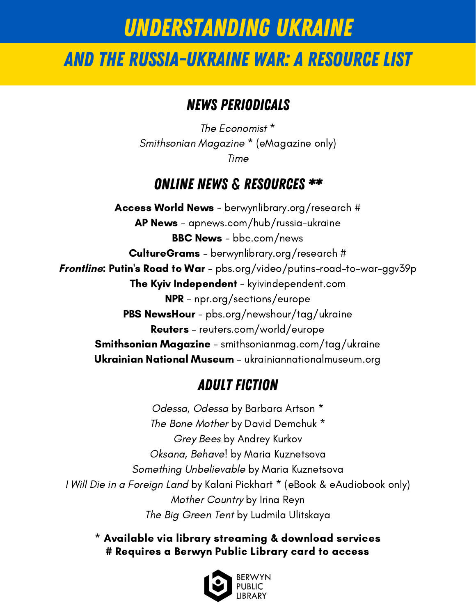## And the Russia-Ukraine War: A Resource List

#### News Periodicals

The [Economist](https://bys.swanlibraries.net/GroupedWork/3a7dfba1-4afa-7415-7bfa-86b36bd65379/Home?searchId=4313370&recordIndex=1&page=1&searchSource=local&referred=resultIndex) [\\*](https://bys.swanlibraries.net/GroupedWork/3a7dfba1-4afa-7415-7bfa-86b36bd65379/Home?searchId=4313370&recordIndex=1&page=1&searchSource=local&referred=resultIndex) [Smithsonian](https://bys.swanlibraries.net/OverDrive/349e88e6-4dfd-4bc7-b1b6-509e0c89c480/Home?searchId=4313383&recordIndex=1&page=1&referred=resultIndex) Magazine \* [\(eMagazine](https://bys.swanlibraries.net/OverDrive/349e88e6-4dfd-4bc7-b1b6-509e0c89c480/Home?searchId=4313383&recordIndex=1&page=1&referred=resultIndex) only) [Time](https://bys.swanlibraries.net/GroupedWork/966996bf-cba9-3319-ba16-e2c824190835/Home?searchId=4313406&recordIndex=2&page=1&searchSource=local&referred=resultIndex)

#### Online news & Resources \*\*

[Access](https://berwynlibrary.org/research/) World News - [berwynlibrary.org/research](https://berwynlibrary.org/research/) # AP [News](https://apnews.com/hub/russia-ukraine) - [apnews.com/hub/russia-ukraine](https://apnews.com/hub/russia-ukraine) **BBC [News](https://www.bbc.com/news)** - [bbc.com/news](https://www.bbc.com/news) [CultureGrams](https://berwynlibrary.org/research/) - [berwynlibrary.org/research](https://berwynlibrary.org/research/) # **[Frontline](https://www.pbs.org/video/putins-road-to-war-ggv39p/): [Putin's](https://www.pbs.org/video/putins-road-to-war-ggv39p/) Road to War** - [pbs.org/video/putins-road-to-war-ggv39p](https://www.pbs.org/video/putins-road-to-war-ggv39p/) The Kyiv [Independent](https://kyivindependent.com/) - [kyivindependent.com](https://kyivindependent.com/) [NPR](https://www.npr.org/sections/europe) - [npr.org/sections/europe](https://www.npr.org/sections/europe) PBS [NewsHour](https://www.pbs.org/newshour/tag/ukraine) - [pbs.org/newshour/tag/ukraine](https://www.pbs.org/newshour/tag/ukraine) [Reuters](https://www.reuters.com/world/europe/) - [reuters.com/world/europe](https://www.reuters.com/world/europe/) [Smithsonian](https://www.smithsonianmag.com/tag/ukraine/) Magazine - [smithsonianmag.com/tag/ukraine](https://www.smithsonianmag.com/tag/ukraine/) [Ukrainian](https://ukrainiannationalmuseum.org/) National Museum - [ukrainiannationalmuseum.org](https://ukrainiannationalmuseum.org/)

#### Adult Fiction

[Odessa,](https://bys.swanlibraries.net/GroupedWork/98b7c1d6-2316-f9d8-77fe-89e5ce13945d/Home?searchId=4313774&recordIndex=1&page=1&searchSource=local&referred=resultIndex) Odessa by [Barbara](https://bys.swanlibraries.net/GroupedWork/98b7c1d6-2316-f9d8-77fe-89e5ce13945d/Home?searchId=4313774&recordIndex=1&page=1&searchSource=local&referred=resultIndex) Artson \* The Bone [Mother](https://bys.swanlibraries.net/GroupedWork/6f6fb5de-a471-6158-2272-07424af86f8d/Home?searchId=4313797&recordIndex=1&page=1&searchSource=local&referred=resultIndex) by David [Demchuk](https://bys.swanlibraries.net/GroupedWork/6f6fb5de-a471-6158-2272-07424af86f8d/Home?searchId=4313797&recordIndex=1&page=1&searchSource=local&referred=resultIndex) \* [Grey](https://bys.swanlibraries.net/Record/a3060310?searchId=4313809&recordIndex=1&page=1&referred=resultIndex) Bees by [Andrey](https://bys.swanlibraries.net/Record/a3060310?searchId=4313809&recordIndex=1&page=1&referred=resultIndex) Kurkov [Oksana,](https://bys.swanlibraries.net/Record/a2743877?searchId=4313833&recordIndex=1&page=1&referred=resultIndex) Behave! by Maria [Kuznetsova](https://bys.swanlibraries.net/Record/a2743877?searchId=4313833&recordIndex=1&page=1&referred=resultIndex) Something [Unbelievable](https://bys.swanlibraries.net/Record/a2965353?searchId=4313851&recordIndex=1&page=1&referred=resultIndex) by Maria [Kuznetsova](https://bys.swanlibraries.net/Record/a2965353?searchId=4313851&recordIndex=1&page=1&referred=resultIndex) I Will Die in a [Foreign](https://bys.swanlibraries.net/GroupedWork/5933e689-8601-3208-b1fa-ec0a34d9cd2a/Home?searchId=4313870&recordIndex=1&page=1&searchSource=local&referred=resultIndex) Land by Kalani Pickhart \* (eBook & [eAudiobook](https://bys.swanlibraries.net/GroupedWork/5933e689-8601-3208-b1fa-ec0a34d9cd2a/Home?searchId=4313870&recordIndex=1&page=1&searchSource=local&referred=resultIndex) only) Mother [Country](https://bys.swanlibraries.net/Record/a2740709?searchId=4313881&recordIndex=1&page=1&referred=resultIndex) by Irina [Reyn](https://bys.swanlibraries.net/Record/a2740709?searchId=4313881&recordIndex=1&page=1&referred=resultIndex) The Big [Green](https://bys.swanlibraries.net/Record/a2036615?searchId=4313887&recordIndex=1&page=1&referred=resultIndex) Tent by Ludmila [Ulitskaya](https://bys.swanlibraries.net/Record/a2036615?searchId=4313887&recordIndex=1&page=1&referred=resultIndex)

#### \* Available via library streaming & download services # Requires a Berwyn Public Library card to access

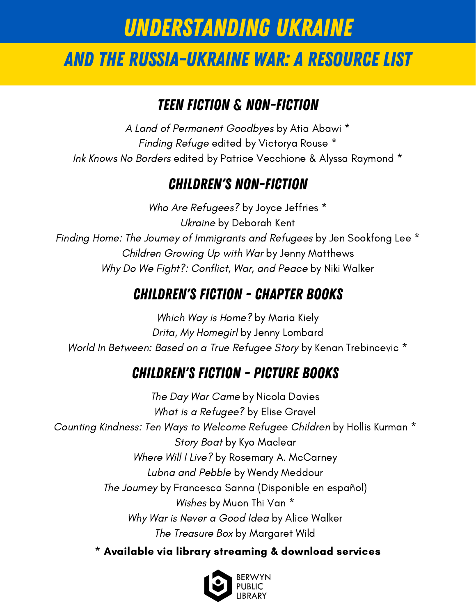## And the Russia-Ukraine War: A Resource List

### Teen Fiction & non-Fiction

A Land of [Permanent](https://bys.swanlibraries.net/GroupedWork/df870017-a569-2134-592a-bec3c6461a71/Home?searchId=4313905&recordIndex=1&page=1&searchSource=local&referred=resultIndex) Goodbyes by Atia [Abawi](https://bys.swanlibraries.net/GroupedWork/df870017-a569-2134-592a-bec3c6461a71/Home?searchId=4313905&recordIndex=1&page=1&searchSource=local&referred=resultIndex) \* [Finding](https://bys.swanlibraries.net/GroupedWork/85a476d8-a14a-312f-5ac3-f8bb35b27d25/Home?searchId=4313918&recordIndex=1&page=1&searchSource=local&referred=resultIndex) Refuge edited by [Victorya](https://bys.swanlibraries.net/GroupedWork/85a476d8-a14a-312f-5ac3-f8bb35b27d25/Home?searchId=4313918&recordIndex=1&page=1&searchSource=local&referred=resultIndex) Rouse \* Ink Knows No [Borders](https://bys.swanlibraries.net/GroupedWork/2b55cdf8-0058-91ec-3bc4-8eaabeb5267f/Home?searchId=4313934&recordIndex=1&page=1&searchSource=local&referred=resultIndex) edited by Patrice [Vecchione](https://bys.swanlibraries.net/GroupedWork/2b55cdf8-0058-91ec-3bc4-8eaabeb5267f/Home?searchId=4313934&recordIndex=1&page=1&searchSource=local&referred=resultIndex) & Alyssa Raymond \*

### children's Non-fiction

Who Are [Refugees?](https://bys.swanlibraries.net/GroupedWork/05f31e70-eec2-0b99-96cd-c7e561ea392f/Home?searchId=4313996&recordIndex=1&page=1&searchSource=local&referred=resultIndex) by Joyce [Jeffries](https://bys.swanlibraries.net/GroupedWork/05f31e70-eec2-0b99-96cd-c7e561ea392f/Home?searchId=4313996&recordIndex=1&page=1&searchSource=local&referred=resultIndex) \* [Ukraine](https://bys.swanlibraries.net/Record/a2017248?searchId=4314015&recordIndex=1&page=1&referred=resultIndex) by [Deborah](https://bys.swanlibraries.net/Record/a2017248?searchId=4314015&recordIndex=1&page=1&referred=resultIndex) Kent Finding Home: The Journey of [Immigrants](https://bys.swanlibraries.net/GroupedWork/9587a68e-3f2b-78f2-0ffb-bec601e7cee3/Home?searchId=4314034&recordIndex=1&page=1&searchSource=local&referred=resultIndex) and Refugees by Jen [Sookfong](https://bys.swanlibraries.net/GroupedWork/9587a68e-3f2b-78f2-0ffb-bec601e7cee3/Home?searchId=4314034&recordIndex=1&page=1&searchSource=local&referred=resultIndex) Lee \* Children [Growing](https://bys.swanlibraries.net/Record/a2024338?searchId=4314044&recordIndex=1&page=1&referred=resultIndex) Up with War by Jenny [Matthews](https://bys.swanlibraries.net/Record/a2024338?searchId=4314044&recordIndex=1&page=1&referred=resultIndex) Why Do We Fight?: [Conflict,](https://bys.swanlibraries.net/Record/a1985582?searchId=4314059&recordIndex=1&page=1&referred=resultIndex) War, and Peace by Niki [Walker](https://bys.swanlibraries.net/Record/a1985582?searchId=4314059&recordIndex=1&page=1&referred=resultIndex)

#### Children's Fiction - Chapter books

Which Way is [Home?](https://bys.swanlibraries.net/Record/a2884952?searchId=4314072&recordIndex=1&page=1&referred=resultIndex) by [Maria](https://bys.swanlibraries.net/Record/a2884952?searchId=4314072&recordIndex=1&page=1&referred=resultIndex) Kiely Drita, My [Homegirl](https://bys.swanlibraries.net/GroupedWork/aa4fc3a7-f852-d544-f7c0-ace714845b98/Home?searchId=4314095&recordIndex=1&page=1&searchSource=local&referred=resultIndex) by Jenny [Lombard](https://bys.swanlibraries.net/GroupedWork/aa4fc3a7-f852-d544-f7c0-ace714845b98/Home?searchId=4314095&recordIndex=1&page=1&searchSource=local&referred=resultIndex) World In [Between:](https://bys.swanlibraries.net/Union/Search?view=list&lookfor=World+In+Between%3A+Based+on+a+True+Refugee+Story&searchIndex=Title&searchSource=local) Based on a True Refugee Story by Kenan [Trebincevic](https://bys.swanlibraries.net/Union/Search?view=list&lookfor=World+In+Between%3A+Based+on+a+True+Refugee+Story&searchIndex=Title&searchSource=local) \*

#### Children's fiction - Picture books

The Day War [Came](https://bys.swanlibraries.net/GroupedWork/32a6c4cc-c91c-1baf-7869-88de2d91c8a9/Home?searchId=4308356&recordIndex=1&page=1&searchSource=local&referred=resultIndex) by Nicola [Davies](https://bys.swanlibraries.net/GroupedWork/32a6c4cc-c91c-1baf-7869-88de2d91c8a9/Home?searchId=4308356&recordIndex=1&page=1&searchSource=local&referred=resultIndex) What is a [Refugee?](https://bys.swanlibraries.net/GroupedWork/c5f831ba-e505-2e21-e701-ea9136508476/Home?searchId=4314146&recordIndex=1&page=1&searchSource=local&referred=resultIndex) by Elise [Gravel](https://bys.swanlibraries.net/GroupedWork/c5f831ba-e505-2e21-e701-ea9136508476/Home?searchId=4314146&recordIndex=1&page=1&searchSource=local&referred=resultIndex) [Counting](https://bys.swanlibraries.net/Union/Search?view=list&lookfor=Counting+Kindness%3A+Ten+Ways+to+Welcome+Refugee+Children&searchIndex=Title&searchSource=local) Kindness: Ten Ways to Welcome Refugee Children by Hollis [Kurman](https://bys.swanlibraries.net/Union/Search?view=list&lookfor=Counting+Kindness%3A+Ten+Ways+to+Welcome+Refugee+Children&searchIndex=Title&searchSource=local) \* [Story](https://bys.swanlibraries.net/Record/a2854536?searchId=4314202&recordIndex=1&page=1&referred=resultIndex) Boat by Kyo [Maclear](https://bys.swanlibraries.net/Record/a2854536?searchId=4314202&recordIndex=1&page=1&referred=resultIndex) [Where](https://bys.swanlibraries.net/Record/a2074679?searchId=4314233&recordIndex=1&page=1&referred=resultIndex) Will I Live? by Rosemary A. [McCarney](https://bys.swanlibraries.net/Record/a2074679?searchId=4314233&recordIndex=1&page=1&referred=resultIndex) Lubna and [Pebble](https://bys.swanlibraries.net/Record/a2752687?searchId=4308388&recordIndex=1&page=1&referred=resultIndex) by Wendy [Meddour](https://bys.swanlibraries.net/Record/a2752687?searchId=4308388&recordIndex=1&page=1&referred=resultIndex) The [Journey](https://bys.swanlibraries.net/Union/Search?view=list&lookfor=The+Journey+Francesca+Sanna&searchIndex=Keyword&searchSource=local) by Francesca Sanna [\(Disponible](https://bys.swanlibraries.net/Union/Search?view=list&lookfor=The+Journey+Francesca+Sanna&searchIndex=Keyword&searchSource=local) en español) [Wishes](https://bys.swanlibraries.net/Union/Search?view=list&showCovers=on&lookfor=Wishes+Muon+Thi+Van&searchIndex=Keyword&searchSource=local) by [Muon](https://bys.swanlibraries.net/Union/Search?view=list&showCovers=on&lookfor=Wishes+Muon+Thi+Van&searchIndex=Keyword&searchSource=local) Thi Van \* Why War is Never a [Good](https://bys.swanlibraries.net/Record/a764360?searchId=4314300&recordIndex=1&page=1&referred=resultIndex) Idea by Alice [Walker](https://bys.swanlibraries.net/Record/a764360?searchId=4314300&recordIndex=1&page=1&referred=resultIndex) The [Treasure](https://bys.swanlibraries.net/Record/a2087582?searchId=4314312&recordIndex=2&page=1&referred=resultIndex) Box by [Margaret](https://bys.swanlibraries.net/Record/a2087582?searchId=4314312&recordIndex=2&page=1&referred=resultIndex) Wild

\* Available via library streaming & download services

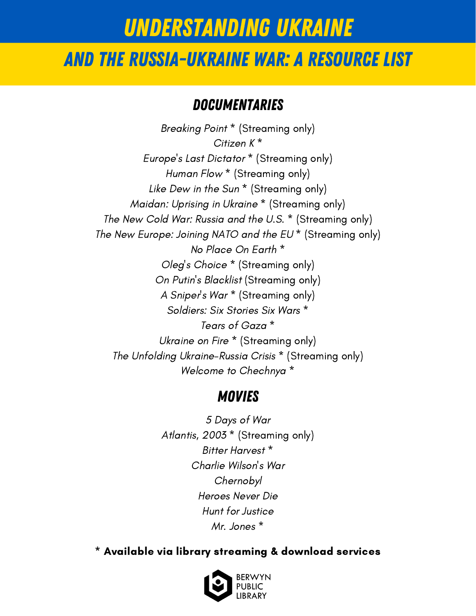### And the Russia-Ukraine War: A Resource List

#### **DOCUMENTARIES**

[Breaking](https://bys.swanlibraries.net/Hoopla/12153506?searchId=4314357&recordIndex=1&page=1&referred=resultIndex) Point \* [\(Streaming](https://bys.swanlibraries.net/Hoopla/12153506?searchId=4314357&recordIndex=1&page=1&referred=resultIndex) only) [Citizen](https://bys.swanlibraries.net/GroupedWork/efdaf1d8-4a04-6096-2501-6e9937c81c8c/Home?searchId=4303904&recordIndex=4&page=1&searchSource=local&referred=resultIndex) K [\\*](https://bys.swanlibraries.net/GroupedWork/efdaf1d8-4a04-6096-2501-6e9937c81c8c/Home?searchId=4303904&recordIndex=4&page=1&searchSource=local&referred=resultIndex) [Europe's](https://bys.swanlibraries.net/Hoopla/14356009?searchId=4303918&recordIndex=1&page=1&referred=resultIndex) Last Dictator \* [\(Streaming](https://bys.swanlibraries.net/Hoopla/14356009?searchId=4303918&recordIndex=1&page=1&referred=resultIndex) only) [Human](https://bys.swanlibraries.net/Union/Search?view=list&lookfor=%22Human+Flow%22&searchIndex=Title&searchSource=local) Flow \* [\(Streaming](https://bys.swanlibraries.net/Union/Search?view=list&lookfor=%22Human+Flow%22&searchIndex=Title&searchSource=local) only) Like [Dew](https://bys.swanlibraries.net/Kanopy/kan3055024?searchId=4303987&recordIndex=1&page=1&referred=resultIndex) in the Sun<sup>\*</sup> [\(Streaming](https://bys.swanlibraries.net/Kanopy/kan3055024?searchId=4303987&recordIndex=1&page=1&referred=resultIndex) only) [Maidan:](https://bys.swanlibraries.net/Kanopy/kan6459659?searchId=4314421&recordIndex=1&page=1&referred=resultIndex) Uprising in Ukraine \* [\(Streaming](https://bys.swanlibraries.net/Kanopy/kan6459659?searchId=4314421&recordIndex=1&page=1&referred=resultIndex) only) The New Cold War: [Russia](https://bys.swanlibraries.net/Union/Search?view=list&lookfor=%22The+New+Cold+War%3A+Russia+and+the+U.S.%22&searchIndex=Title&searchSource=local) and the U.S. \* [\(Streaming](https://bys.swanlibraries.net/Union/Search?view=list&lookfor=%22The+New+Cold+War%3A+Russia+and+the+U.S.%22&searchIndex=Title&searchSource=local) only) The New [Europe:](https://bys.swanlibraries.net/Kanopy/kan1198438?searchId=4314465&recordIndex=1&page=1&referred=resultIndex) Joining NATO and the EU \* [\(Streaming](https://bys.swanlibraries.net/Kanopy/kan1198438?searchId=4314465&recordIndex=1&page=1&referred=resultIndex) only) No [Place](https://bys.swanlibraries.net/Search/Results?lookfor=%22No+Place+On+Earth%22&searchIndex=Title&filter[]=format_category_BYS%3A%22Movies%22&sort=relevance&view=list&searchSource=local) On Earth [\\*](https://bys.swanlibraries.net/Search/Results?lookfor=%22No+Place+On+Earth%22&searchIndex=Title&filter[]=format_category_BYS%3A%22Movies%22&sort=relevance&view=list&searchSource=local) Oleg's [Choice](https://bys.swanlibraries.net/Kanopy/kan1258965?searchId=4314895&recordIndex=1&page=1&referred=resultIndex) \* [\(Streaming](https://bys.swanlibraries.net/Kanopy/kan1258965?searchId=4314895&recordIndex=1&page=1&referred=resultIndex) only) On Putin's [Blacklist](https://bys.swanlibraries.net/Union/Search?view=list&lookfor=%22On+Putin%27s+Blacklist%22&searchIndex=Title&searchSource=local) [\(Streaming](https://bys.swanlibraries.net/Union/Search?view=list&lookfor=%22On+Putin%27s+Blacklist%22&searchIndex=Title&searchSource=local) only) A [Sniper's](https://bys.swanlibraries.net/Kanopy/kan12431910?searchId=4314921&recordIndex=1&page=1&referred=resultIndex) War \* [\(Streaming](https://bys.swanlibraries.net/Kanopy/kan12431910?searchId=4314921&recordIndex=1&page=1&referred=resultIndex) only) [Soldiers:](https://bys.swanlibraries.net/Union/Search?view=list&showCovers=on&lookfor=Soldiers%3A+Six+Stories+Six+Wars&searchIndex=Title&searchSource=local) Six Stories Six Wars [\\*](https://bys.swanlibraries.net/Union/Search?view=list&showCovers=on&lookfor=Soldiers%3A+Six+Stories+Six+Wars&searchIndex=Title&searchSource=local) Tears of [Gaza](https://bys.swanlibraries.net/Union/Search?view=list&showCovers=on&lookfor=Tears+of+Gaza&searchIndex=Title&searchSource=local) [\\*](https://bys.swanlibraries.net/Union/Search?view=list&showCovers=on&lookfor=Tears+of+Gaza&searchIndex=Title&searchSource=local) [Ukraine](https://bys.swanlibraries.net/Search/Results?lookfor=Ukraine+on+Fire&searchIndex=Title&filter[]=format_category_BYS%3A%22Movies%22&sort=relevance&view=list&searchSource=local) on Fire \* [\(Streaming](https://bys.swanlibraries.net/Search/Results?lookfor=Ukraine+on+Fire&searchIndex=Title&filter[]=format_category_BYS%3A%22Movies%22&sort=relevance&view=list&searchSource=local) only) The Unfolding [Ukraine-Russia](https://bys.swanlibraries.net/Kanopy/kan1198440?searchId=4314977&recordIndex=1&page=1&referred=resultIndex) Crisis \* [\(Streaming](https://bys.swanlibraries.net/Kanopy/kan1198440?searchId=4314977&recordIndex=1&page=1&referred=resultIndex) only) Welcome to [Chechnya](https://bys.swanlibraries.net/GroupedWork/5da3baa5-3ab5-d8f7-0a96-03ecbb851c7b/Home?searchId=4314999&recordIndex=1&page=1&searchSource=local&referred=resultIndex) [\\*](https://bys.swanlibraries.net/GroupedWork/5da3baa5-3ab5-d8f7-0a96-03ecbb851c7b/Home?searchId=4314999&recordIndex=1&page=1&searchSource=local&referred=resultIndex)

#### **MOVIES**

5 [Days](https://bys.swanlibraries.net/Union/Search?view=list&showCovers=on&lookfor=%225+Days+of+War%22&searchIndex=Title&searchSource=local) of War [Atlantis,](https://bys.swanlibraries.net/Kanopy/kan6389312?searchId=4315031&recordIndex=1&page=1&referred=resultIndex) 2003 \* [\(Streaming](https://bys.swanlibraries.net/Kanopy/kan6389312?searchId=4315031&recordIndex=1&page=1&referred=resultIndex) only) Bitter [Harvest](https://bys.swanlibraries.net/Search/Results?lookfor=%22Bitter+Harvest%22&searchIndex=Title&filter[]=format_category_BYS%3A%22Movies%22&filter[]=availability_toggle_BYS%3A%22local%22&sort=relevance&view=list&searchSource=local&&filter[]=publishDate:[2017+TO+2020]) [\\*](https://bys.swanlibraries.net/Search/Results?lookfor=%22Bitter+Harvest%22&searchIndex=Title&filter[]=format_category_BYS%3A%22Movies%22&filter[]=availability_toggle_BYS%3A%22local%22&sort=relevance&view=list&searchSource=local&&filter[]=publishDate:[2017+TO+2020]) Charlie [Wilson's](https://bys.swanlibraries.net/GroupedWork/800dbc03-7d8b-d136-c61e-fc09870b2243/Home?searchId=4315104&recordIndex=1&page=1&searchSource=local&referred=resultIndex) War [Chernobyl](https://bys.swanlibraries.net/GroupedWork/572a88fb-ca7b-b789-d7f5-07e22aedb2c5/Home?searchId=4315114&recordIndex=3&page=1&searchSource=local&referred=resultIndex) [Heroes](https://bys.swanlibraries.net/Record/a2843397?searchId=4315144&recordIndex=1&page=1&referred=resultIndex) Never Die Hunt for [Justice](https://bys.swanlibraries.net/Record/a2631678?searchId=4315154&recordIndex=1&page=1&referred=resultIndex) Mr. [Jones](https://bys.swanlibraries.net/Search/Results?lookfor=%22Mr.+Jones%22&searchIndex=Title&filter[]=availability_toggle_BYS%3A%22local%22&filter[]=format_category_BYS%3A%22Movies%22&sort=relevance&view=list&searchSource=local) [\\*](https://bys.swanlibraries.net/Search/Results?lookfor=%22Mr.+Jones%22&searchIndex=Title&filter[]=availability_toggle_BYS%3A%22local%22&filter[]=format_category_BYS%3A%22Movies%22&sort=relevance&view=list&searchSource=local)

#### \* Available via library streaming & download services